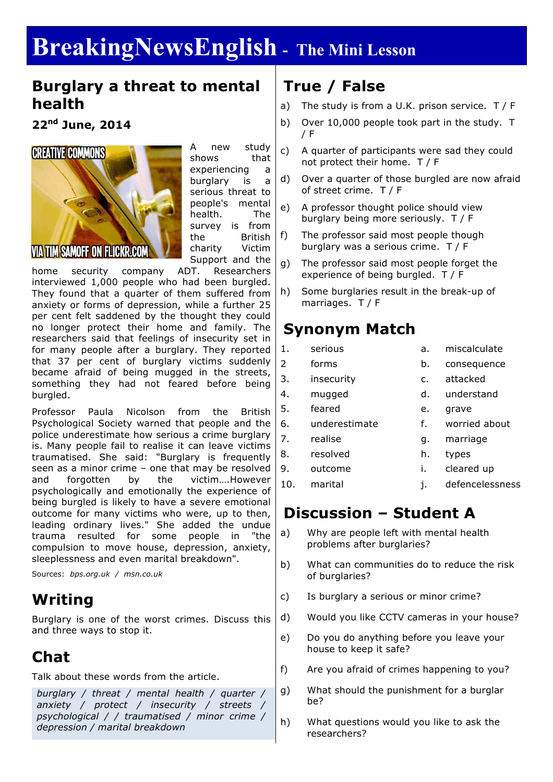# **BreakingNewsEnglish - The Mini Lesson**

#### **Burglary a threat to mental health**

**22nd June, 2014**



A new study shows that experiencing a burglary is a serious threat to people's mental health. The survey is from the British charity Victim Support and the

home security company ADT. Researchers interviewed 1,000 people who had been burgled. They found that a quarter of them suffered from anxiety or forms of depression, while a further 25 per cent felt saddened by the thought they could no longer protect their home and family. The researchers said that feelings of insecurity set in for many people after a burglary. They reported that 37 per cent of burglary victims suddenly became afraid of being mugged in the streets, something they had not feared before being burgled.

Professor Paula Nicolson from the British Psychological Society warned that people and the police underestimate how serious a crime burglary is. Many people fail to realise it can leave victims traumatised. She said: "Burglary is frequently seen as a minor crime – one that may be resolved and forgotten by the victim….However psychologically and emotionally the experience of being burgled is likely to have a severe emotional outcome for many victims who were, up to then, leading ordinary lives." She added the undue trauma resulted for some people in "the compulsion to move house, depression, anxiety, sleeplessness and even marital breakdown".

Sources: *bps.org.uk / msn.co.uk*

#### **Writing**

Burglary is one of the worst crimes. Discuss this and three ways to stop it.

#### **Chat**

Talk about these words from the article.

*burglary / threat / mental health / quarter / anxiety / protect / insecurity / streets / psychological / / traumatised / minor crime / depression / marital breakdown*

### **True / False**

- a) The study is from a U.K. prison service.  $T / F$
- b) Over 10,000 people took part in the study. T / F
- c) A quarter of participants were sad they could not protect their home. T / F
- d) Over a quarter of those burgled are now afraid of street crime. T / F
- e) A professor thought police should view burglary being more seriously. T / F
- f) The professor said most people though burglary was a serious crime. T / F
- g) The professor said most people forget the experience of being burgled. T / F
- h) Some burglaries result in the break-up of marriages. T / F

### **Synonym Match**

- 1. serious a. miscalculate
- 2 forms b. consequence
	-
- 3. insecurity c. attacked
- 4. mugged d. understand
- 5. feared e. grave
- 6. underestimate f. worried about
- 7. realise g. marriage
- 8. resolved h. types
- 9. outcome i. cleared up
- 10. marital i. defencelessness
	-

#### **Discussion – Student A**

- a) Why are people left with mental health problems after burglaries?
- b) What can communities do to reduce the risk of burglaries?
- c) Is burglary a serious or minor crime?
- d) Would you like CCTV cameras in your house?
- e) Do you do anything before you leave your house to keep it safe?
- f) Are you afraid of crimes happening to you?
- g) What should the punishment for a burglar be?
- h) What questions would you like to ask the researchers?